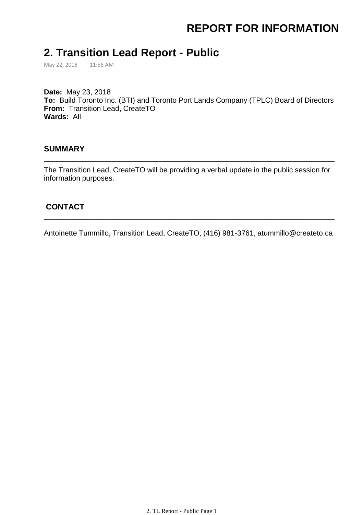# **REPORT FOR INFORMATION**

### **2. Transition Lead Report - Public**

May 22, 2018 11:56 AM

**Date:** May 23, 2018 **To:** Build Toronto Inc. (BTI) and Toronto Port Lands Company (TPLC) Board of Directors **From:** Transition Lead, CreateTO **Wards:** All

#### **SUMMARY**

The Transition Lead, CreateTO will be providing a verbal update in the public session for information purposes.

\_\_\_\_\_\_\_\_\_\_\_\_\_\_\_\_\_\_\_\_\_\_\_\_\_\_\_\_\_\_\_\_\_\_\_\_\_\_\_\_\_\_\_\_\_\_\_\_\_\_\_\_\_\_\_\_\_\_\_\_\_\_\_\_\_\_

### **CONTACT**

Antoinette Tummillo, Transition Lead, CreateTO, (416) 981-3761, atummillo@createto.ca

\_\_\_\_\_\_\_\_\_\_\_\_\_\_\_\_\_\_\_\_\_\_\_\_\_\_\_\_\_\_\_\_\_\_\_\_\_\_\_\_\_\_\_\_\_\_\_\_\_\_\_\_\_\_\_\_\_\_\_\_\_\_\_\_\_\_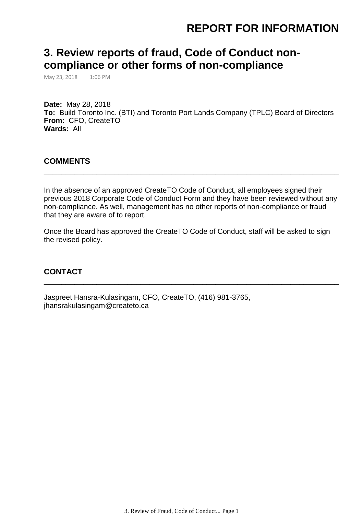## **REPORT FOR INFORMATION**

## **3. Review reports of fraud, Code of Conduct noncompliance or other forms of non-compliance**

May 23, 2018 1:06 PM

**Date:** May 28, 2018 **To:** Build Toronto Inc. (BTI) and Toronto Port Lands Company (TPLC) Board of Directors **From:** CFO, CreateTO **Wards:** All

#### **COMMENTS**

In the absence of an approved CreateTO Code of Conduct, all employees signed their previous 2018 Corporate Code of Conduct Form and they have been reviewed without any non-compliance. As well, management has no other reports of non-compliance or fraud that they are aware of to report.

\_\_\_\_\_\_\_\_\_\_\_\_\_\_\_\_\_\_\_\_\_\_\_\_\_\_\_\_\_\_\_\_\_\_\_\_\_\_\_\_\_\_\_\_\_\_\_\_\_\_\_\_\_\_\_\_\_\_\_\_\_\_\_\_\_\_\_

Once the Board has approved the CreateTO Code of Conduct, staff will be asked to sign the revised policy.

\_\_\_\_\_\_\_\_\_\_\_\_\_\_\_\_\_\_\_\_\_\_\_\_\_\_\_\_\_\_\_\_\_\_\_\_\_\_\_\_\_\_\_\_\_\_\_\_\_\_\_\_\_\_\_\_\_\_\_\_\_\_\_\_\_\_\_

#### **CONTACT**

Jaspreet Hansra-Kulasingam, CFO, CreateTO, (416) 981-3765, jhansrakulasingam@createto.ca